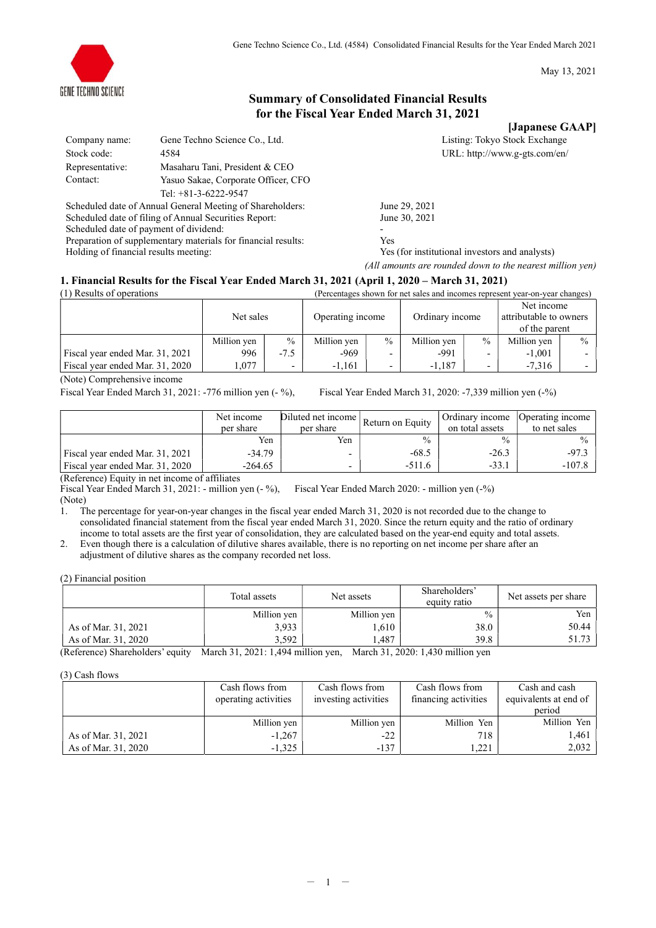May 13, 2021

# Summary of Consolidated Financial Results for the Fiscal Year Ended March 31, 2021

[Japanese GAAP]

| Listing: Tokyo Stock Exchange |
|-------------------------------|
| URL: http://www.g-gts.com/en/ |

|                 |                                                           | <b>Toubmnoo</b> of            |  |
|-----------------|-----------------------------------------------------------|-------------------------------|--|
| Company name:   | Gene Techno Science Co., Ltd.                             | Listing: Tokyo Stock Exchange |  |
| Stock code:     | 4584                                                      | URL: http://www.g-gts.com/en/ |  |
| Representative: | Masaharu Tani, President & CEO                            |                               |  |
| Contact:        | Yasuo Sakae, Corporate Officer, CFO                       |                               |  |
|                 | Tel: $+81-3-6222-9547$                                    |                               |  |
|                 | Scheduled date of Annual General Meeting of Shareholders: | June 29, 2021                 |  |

heduled date of Annual General Meeting of Shareholders: June 29, 2021<br>heduled date of filing of Annual Securities Report: June 30, 2021 Scheduled date of filing of Annual Securities Report: Scheduled date of payment of dividend:<br>
Preparation of supplementary materials for financial results: Yes Preparation of supplementary materials for financial results:

Holding of financial results meeting: Yes (for institutional investors and analysts) (All amounts are rounded down to the nearest million yen)

## 1. Financial Results for the Fiscal Year Ended March 31, 2021 (April 1, 2020 – March 31, 2021)

| (1) Results of operations       | (Percentages shown for net sales and incomes represent year-on-year changes) |                          |                  |                          |                 |               |                                                       |               |
|---------------------------------|------------------------------------------------------------------------------|--------------------------|------------------|--------------------------|-----------------|---------------|-------------------------------------------------------|---------------|
|                                 | Net sales                                                                    |                          | Operating income |                          | Ordinary income |               | Net income<br>attributable to owners<br>of the parent |               |
|                                 | Million yen                                                                  | $\frac{0}{0}$            | Million yen      | $\frac{0}{0}$            | Million yen     | $\frac{0}{0}$ | Million yen                                           | $\frac{0}{0}$ |
| Fiscal year ended Mar. 31, 2021 | 996                                                                          | $-7.5$                   | -969             |                          | $-991$          |               | $-1,001$                                              |               |
| Fiscal year ended Mar. 31, 2020 | 1,077                                                                        | $\overline{\phantom{0}}$ | $-1,161$         | $\overline{\phantom{0}}$ | $-1.187$        |               | $-7.316$                                              |               |

(Note) Comprehensive income

Fiscal Year Ended March 31, 2021: -776 million yen (- %), Fiscal Year Ended March 31, 2020: -7,339 million yen (-%)

|                                 | Diluted net income<br>Net income<br>per share<br>per share |                          | Return on Equity | Ordinary income<br>on total assets | Operating income<br>to net sales |  |  |  |
|---------------------------------|------------------------------------------------------------|--------------------------|------------------|------------------------------------|----------------------------------|--|--|--|
|                                 | Yen                                                        | Yen                      | $\frac{0}{0}$    | $\frac{0}{0}$                      |                                  |  |  |  |
| Fiscal year ended Mar. 31, 2021 | $-34.79$                                                   | $\overline{\phantom{a}}$ | $-68.5$          | $-26.3$                            | $-97.3$                          |  |  |  |
| Fiscal year ended Mar. 31, 2020 | $-264.65$                                                  | $\overline{\phantom{a}}$ | $-511.6$         | $-33.1$                            | $-107.8$                         |  |  |  |
| $\sum_{i=1}^{n}$                |                                                            |                          |                  |                                    |                                  |  |  |  |

(Reference) Equity in net income of affiliates

Fiscal Year Ended March 31, 2021: - million yen (- %), Fiscal Year Ended March 2020: - million yen (-%) (Note)

1. The percentage for year-on-year changes in the fiscal year ended March 31, 2020 is not recorded due to the change to consolidated financial statement from the fiscal year ended March 31, 2020. Since the return equity and the ratio of ordinary income to total assets are the first year of consolidation, they are calculated based on the year-end equity and total assets.

2. Even though there is a calculation of dilutive shares available, there is no reporting on net income per share after an adjustment of dilutive shares as the company recorded net loss.

(2) Financial position

|                     | Total assets | Net assets  | Shareholders'<br>equity ratio | Net assets per share |
|---------------------|--------------|-------------|-------------------------------|----------------------|
|                     | Million yen  | Million yen | $\%$                          | Yen                  |
| As of Mar. 31, 2021 | 3,933        | 1,610       | 38.0                          | 50.44                |
| As of Mar. 31, 2020 | 3.592        | .487        | 39.8                          | 51.73                |

(Reference) Shareholders' equity March 31, 2021: 1,494 million yen, March 31, 2020: 1,430 million yen

(3) Cash flows

|                     | Cash flows from<br>operating activities | Cash flows from<br>investing activities | Cash flows from<br>financing activities | Cash and cash<br>equivalents at end of<br>period |
|---------------------|-----------------------------------------|-----------------------------------------|-----------------------------------------|--------------------------------------------------|
|                     | Million yen                             | Million yen                             | Million Yen                             | Million Yen                                      |
| As of Mar. 31, 2021 | $-1,267$                                | $-22$                                   | 718.                                    | 1.461                                            |
| As of Mar. 31, 2020 | $-1.325$                                | $-137$                                  | 1.221                                   | 2.032                                            |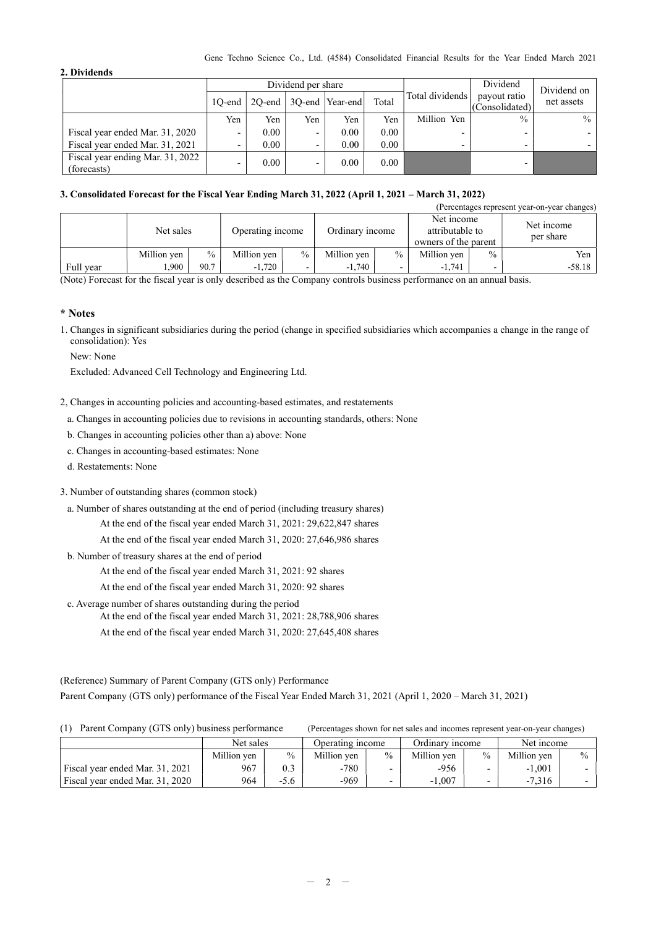#### Gene Techno Science Co., Ltd. (4584) Consolidated Financial Results for the Year Ended March 2021

### 2. Dividends

|                                                 |        |                   | Dividend per share |                            |       | Dividend                 | Dividend on                    |            |
|-------------------------------------------------|--------|-------------------|--------------------|----------------------------|-------|--------------------------|--------------------------------|------------|
|                                                 | 10-end |                   |                    | 2Q-end   3Q-end   Year-end | Total | Total dividends          | payout ratio<br>(Consolidated) | net assets |
|                                                 | Yen    | Yen               | Yen                | Yen                        | Yen   | Million Yen              | $\frac{0}{0}$                  | $\%$       |
| Fiscal year ended Mar. 31, 2020                 | -      | 0.00              | -                  | 0.00                       | 0.00  | $\overline{\phantom{0}}$ |                                |            |
| Fiscal year ended Mar. 31, 2021                 |        | 0.00 <sub>1</sub> |                    | 0.00                       | 0.00  | -                        |                                |            |
| Fiscal year ending Mar. 31, 2022<br>(forecasts) | -      | 0.00 <sub>1</sub> | -                  | 0.00                       | 0.00  |                          |                                |            |

### 3. Consolidated Forecast for the Fiscal Year Ending March 31, 2022 (April 1, 2021 – March 31, 2022)

| (Percentages represent year-on-year changes) |           |             |      |                  |      |                 |               |                                                       |               |                         |
|----------------------------------------------|-----------|-------------|------|------------------|------|-----------------|---------------|-------------------------------------------------------|---------------|-------------------------|
|                                              |           | Net sales   |      | Operating income |      | Ordinary income |               | Net income<br>attributable to<br>owners of the parent |               | Net income<br>per share |
|                                              |           | Million yen | $\%$ | Million yen      | $\%$ | Million yen     | $\frac{0}{0}$ | Million ven                                           | $\frac{0}{0}$ | Yen i                   |
|                                              | Full year | ,900        | 90.7 | $-1,720$         | -    | $-1,740$        |               | $-1.741$                                              |               | $-58.18$                |

(Note) Forecast for the fiscal year is only described as the Company controls business performance on an annual basis.

### \* Notes

1. Changes in significant subsidiaries during the period (change in specified subsidiaries which accompanies a change in the range of consolidation): Yes

New: None

Excluded: Advanced Cell Technology and Engineering Ltd.

- 2, Changes in accounting policies and accounting-based estimates, and restatements
	- a. Changes in accounting policies due to revisions in accounting standards, others: None
	- b. Changes in accounting policies other than a) above: None
	- c. Changes in accounting-based estimates: None
	- d. Restatements: None
- 3. Number of outstanding shares (common stock)
	- a. Number of shares outstanding at the end of period (including treasury shares)
		- At the end of the fiscal year ended March 31, 2021: 29,622,847 shares

At the end of the fiscal year ended March 31, 2020: 27,646,986 shares

b. Number of treasury shares at the end of period

At the end of the fiscal year ended March 31, 2021: 92 shares

At the end of the fiscal year ended March 31, 2020: 92 shares

c. Average number of shares outstanding during the period

- At the end of the fiscal year ended March 31, 2021: 28,788,906 shares
- At the end of the fiscal year ended March 31, 2020: 27,645,408 shares

(Reference) Summary of Parent Company (GTS only) Performance Parent Company (GTS only) performance of the Fiscal Year Ended March 31, 2021 (April 1, 2020 – March 31, 2021)

| Parent Company (GTS only) business performance<br>(1) |             |        | (Percentages shown for net sales and incomes represent year-on-year changes) |               |                 |               |             |               |
|-------------------------------------------------------|-------------|--------|------------------------------------------------------------------------------|---------------|-----------------|---------------|-------------|---------------|
|                                                       | Net sales   |        | Operating income                                                             |               | Ordinary income |               | Net income  |               |
|                                                       | Million yen | $\%$   | Million yen                                                                  | $\frac{0}{0}$ | Million yen     | $\frac{0}{0}$ | Million yen | $\frac{0}{0}$ |
| Fiscal year ended Mar. 31, 2021                       | 967         | 0.3    | $-780$                                                                       |               | $-956$          |               | $-1.001$    |               |
| Fiscal year ended Mar. 31, 2020                       | 964         | $-5.6$ | $-969$                                                                       |               | $-1.007$        |               | $-7.316$    |               |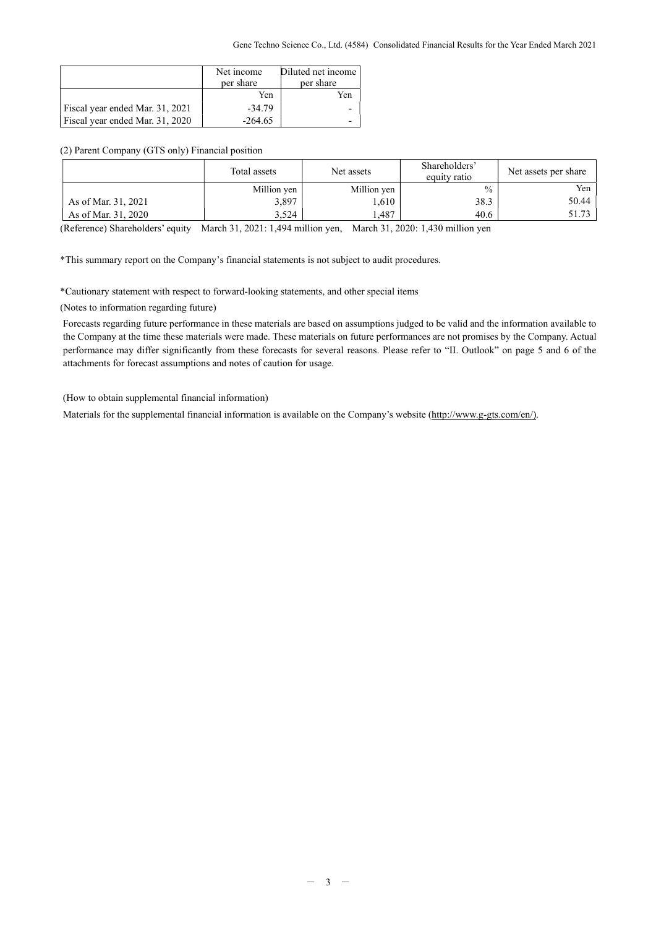|                                 | Net income<br>per share | Diluted net income<br>per share |
|---------------------------------|-------------------------|---------------------------------|
|                                 | Yen                     | Yen                             |
| Fiscal year ended Mar. 31, 2021 | $-34.79$                |                                 |
| Fiscal year ended Mar. 31, 2020 | $-264.65$               |                                 |

### (2) Parent Company (GTS only) Financial position

| Million yen<br>Million yen<br>3,897<br>.610 |               |       |
|---------------------------------------------|---------------|-------|
|                                             | $\frac{0}{0}$ | Yen   |
| As of Mar. 31, 2021                         | 38.3          | 50.44 |
| 1,487<br>As of Mar. 31, 2020<br>3.524       | 40.6          | 51.73 |

(Reference) Shareholders' equity March 31, 2021: 1,494 million yen, March 31, 2020: 1,430 million yen

\*This summary report on the Company's financial statements is not subject to audit procedures.

\*Cautionary statement with respect to forward-looking statements, and other special items

(Notes to information regarding future)

Forecasts regarding future performance in these materials are based on assumptions judged to be valid and the information available to the Company at the time these materials were made. These materials on future performances are not promises by the Company. Actual performance may differ significantly from these forecasts for several reasons. Please refer to "II. Outlook" on page 5 and 6 of the attachments for forecast assumptions and notes of caution for usage.

(How to obtain supplemental financial information)

Materials for the supplemental financial information is available on the Company's website (http://www.g-gts.com/en/).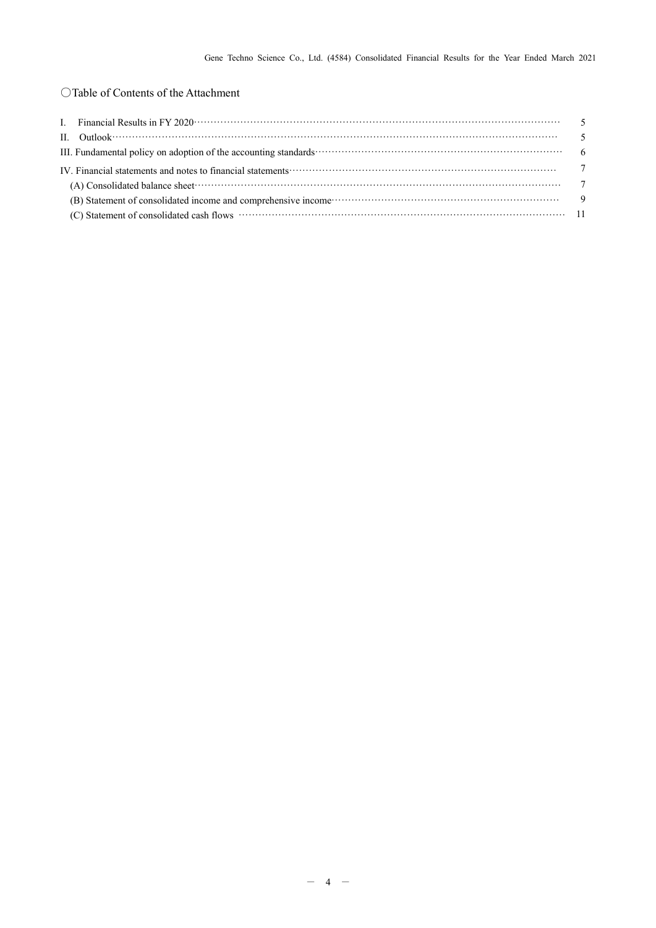# ○Table of Contents of the Attachment

| III. Fundamental policy on adoption of the accounting standards contain the contained contained and the standards of the accounting standards of the standards of the standard standards of the standard standard standard sta |  |
|--------------------------------------------------------------------------------------------------------------------------------------------------------------------------------------------------------------------------------|--|
| IV. Financial statements and notes to financial statements contract to contact the contract of the contract of the contract of the contract of the contract of the contract of the contract of the contract of the contract of |  |
|                                                                                                                                                                                                                                |  |
|                                                                                                                                                                                                                                |  |
|                                                                                                                                                                                                                                |  |
|                                                                                                                                                                                                                                |  |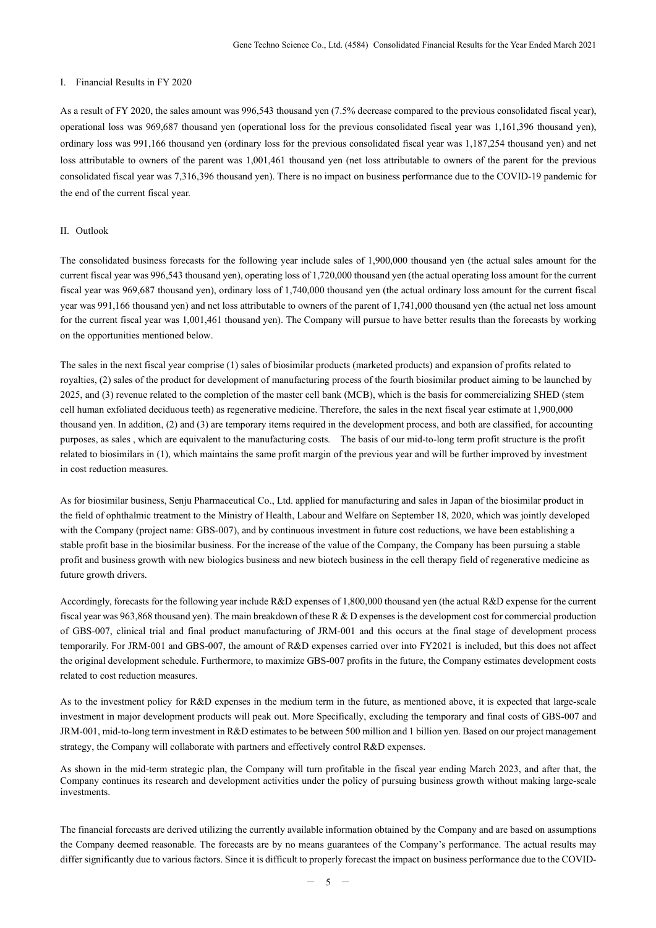### I. Financial Results in FY 2020

As a result of FY 2020, the sales amount was 996,543 thousand yen (7.5% decrease compared to the previous consolidated fiscal year), operational loss was 969,687 thousand yen (operational loss for the previous consolidated fiscal year was 1,161,396 thousand yen), ordinary loss was 991,166 thousand yen (ordinary loss for the previous consolidated fiscal year was 1,187,254 thousand yen) and net loss attributable to owners of the parent was 1,001,461 thousand yen (net loss attributable to owners of the parent for the previous consolidated fiscal year was 7,316,396 thousand yen). There is no impact on business performance due to the COVID-19 pandemic for the end of the current fiscal year.

#### II. Outlook

The consolidated business forecasts for the following year include sales of 1,900,000 thousand yen (the actual sales amount for the current fiscal year was 996,543 thousand yen), operating loss of 1,720,000 thousand yen (the actual operating loss amount for the current fiscal year was 969,687 thousand yen), ordinary loss of 1,740,000 thousand yen (the actual ordinary loss amount for the current fiscal year was 991,166 thousand yen) and net loss attributable to owners of the parent of 1,741,000 thousand yen (the actual net loss amount for the current fiscal year was 1,001,461 thousand yen). The Company will pursue to have better results than the forecasts by working on the opportunities mentioned below.

The sales in the next fiscal year comprise (1) sales of biosimilar products (marketed products) and expansion of profits related to royalties, (2) sales of the product for development of manufacturing process of the fourth biosimilar product aiming to be launched by 2025, and (3) revenue related to the completion of the master cell bank (MCB), which is the basis for commercializing SHED (stem cell human exfoliated deciduous teeth) as regenerative medicine. Therefore, the sales in the next fiscal year estimate at 1,900,000 thousand yen. In addition, (2) and (3) are temporary items required in the development process, and both are classified, for accounting purposes, as sales , which are equivalent to the manufacturing costs. The basis of our mid-to-long term profit structure is the profit related to biosimilars in (1), which maintains the same profit margin of the previous year and will be further improved by investment in cost reduction measures.

As for biosimilar business, Senju Pharmaceutical Co., Ltd. applied for manufacturing and sales in Japan of the biosimilar product in the field of ophthalmic treatment to the Ministry of Health, Labour and Welfare on September 18, 2020, which was jointly developed with the Company (project name: GBS-007), and by continuous investment in future cost reductions, we have been establishing a stable profit base in the biosimilar business. For the increase of the value of the Company, the Company has been pursuing a stable profit and business growth with new biologics business and new biotech business in the cell therapy field of regenerative medicine as future growth drivers.

Accordingly, forecasts for the following year include R&D expenses of 1,800,000 thousand yen (the actual R&D expense for the current fiscal year was 963,868 thousand yen). The main breakdown of these R & D expenses is the development cost for commercial production of GBS-007, clinical trial and final product manufacturing of JRM-001 and this occurs at the final stage of development process temporarily. For JRM-001 and GBS-007, the amount of R&D expenses carried over into FY2021 is included, but this does not affect the original development schedule. Furthermore, to maximize GBS-007 profits in the future, the Company estimates development costs related to cost reduction measures.

As to the investment policy for R&D expenses in the medium term in the future, as mentioned above, it is expected that large-scale investment in major development products will peak out. More Specifically, excluding the temporary and final costs of GBS-007 and JRM-001, mid-to-long term investment in R&D estimates to be between 500 million and 1 billion yen. Based on our project management strategy, the Company will collaborate with partners and effectively control R&D expenses.

As shown in the mid-term strategic plan, the Company will turn profitable in the fiscal year ending March 2023, and after that, the Company continues its research and development activities under the policy of pursuing business growth without making large-scale investments.

The financial forecasts are derived utilizing the currently available information obtained by the Company and are based on assumptions the Company deemed reasonable. The forecasts are by no means guarantees of the Company's performance. The actual results may differ significantly due to various factors. Since it is difficult to properly forecast the impact on business performance due to the COVID-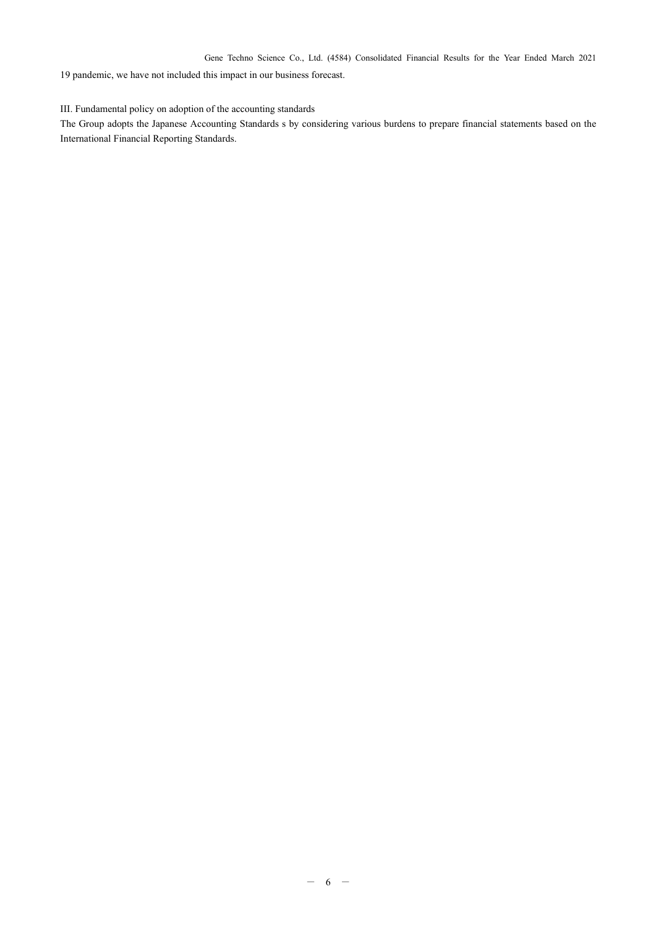Gene Techno Science Co., Ltd. (4584) Consolidated Financial Results for the Year Ended March 2021

19 pandemic, we have not included this impact in our business forecast.

### III. Fundamental policy on adoption of the accounting standards

The Group adopts the Japanese Accounting Standards s by considering various burdens to prepare financial statements based on the International Financial Reporting Standards.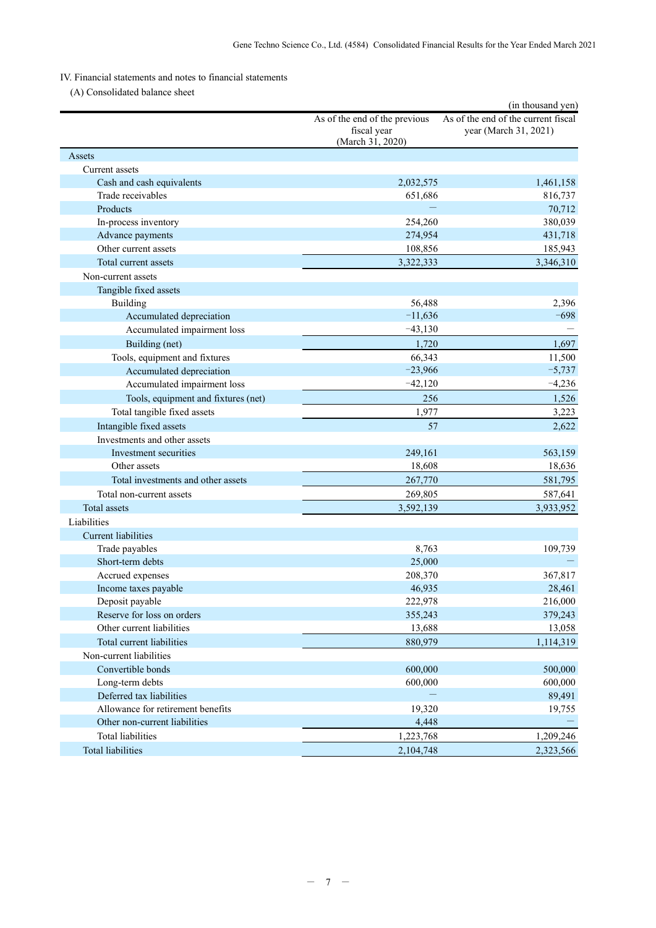# IV. Financial statements and notes to financial statements

(A) Consolidated balance sheet

|                                     |                                                                  | (in thousand yen)                                            |
|-------------------------------------|------------------------------------------------------------------|--------------------------------------------------------------|
|                                     | As of the end of the previous<br>fiscal year<br>(March 31, 2020) | As of the end of the current fiscal<br>year (March 31, 2021) |
| Assets                              |                                                                  |                                                              |
| Current assets                      |                                                                  |                                                              |
| Cash and cash equivalents           | 2,032,575                                                        | 1,461,158                                                    |
| Trade receivables                   | 651,686                                                          | 816,737                                                      |
| Products                            |                                                                  | 70,712                                                       |
| In-process inventory                | 254,260                                                          | 380,039                                                      |
| Advance payments                    | 274,954                                                          | 431,718                                                      |
| Other current assets                | 108,856                                                          | 185,943                                                      |
| Total current assets                | 3,322,333                                                        | 3,346,310                                                    |
| Non-current assets                  |                                                                  |                                                              |
| Tangible fixed assets               |                                                                  |                                                              |
| Building                            | 56,488                                                           | 2,396                                                        |
| Accumulated depreciation            | $-11,636$                                                        | $-698$                                                       |
| Accumulated impairment loss         | $-43,130$                                                        |                                                              |
| Building (net)                      | 1.720                                                            | 1,697                                                        |
| Tools, equipment and fixtures       | 66,343                                                           | 11,500                                                       |
| Accumulated depreciation            | $-23,966$                                                        | $-5,737$                                                     |
| Accumulated impairment loss         | $-42,120$                                                        | $-4,236$                                                     |
| Tools, equipment and fixtures (net) | 256                                                              | 1,526                                                        |
| Total tangible fixed assets         | 1.977                                                            | 3,223                                                        |
| Intangible fixed assets             | 57                                                               |                                                              |
| Investments and other assets        |                                                                  | 2,622                                                        |
| Investment securities               | 249,161                                                          | 563,159                                                      |
| Other assets                        | 18,608                                                           | 18,636                                                       |
| Total investments and other assets  |                                                                  | 581,795                                                      |
|                                     | 267,770                                                          |                                                              |
| Total non-current assets            | 269,805                                                          | 587,641                                                      |
| Total assets                        | 3,592,139                                                        | 3,933,952                                                    |
| Liabilities                         |                                                                  |                                                              |
| <b>Current liabilities</b>          |                                                                  |                                                              |
| Trade payables                      | 8,763                                                            | 109,739                                                      |
| Short-term debts                    | 25,000                                                           |                                                              |
| Accrued expenses                    | 208,370                                                          | 367,817                                                      |
| Income taxes payable                | 46,935                                                           | 28,461                                                       |
| Deposit payable                     | 222,978                                                          | 216,000                                                      |
| Reserve for loss on orders          | 355,243                                                          | 379,243                                                      |
| Other current liabilities           | 13,688                                                           | 13,058                                                       |
| Total current liabilities           | 880,979                                                          | 1,114,319                                                    |
| Non-current liabilities             |                                                                  |                                                              |
| Convertible bonds                   | 600,000                                                          | 500,000                                                      |
| Long-term debts                     | 600,000                                                          | 600,000                                                      |
| Deferred tax liabilities            |                                                                  | 89,491                                                       |
| Allowance for retirement benefits   | 19,320                                                           | 19,755                                                       |
| Other non-current liabilities       | 4,448                                                            |                                                              |
| Total liabilities                   | 1,223,768                                                        | 1,209,246                                                    |
| <b>Total liabilities</b>            | 2,104,748                                                        | 2,323,566                                                    |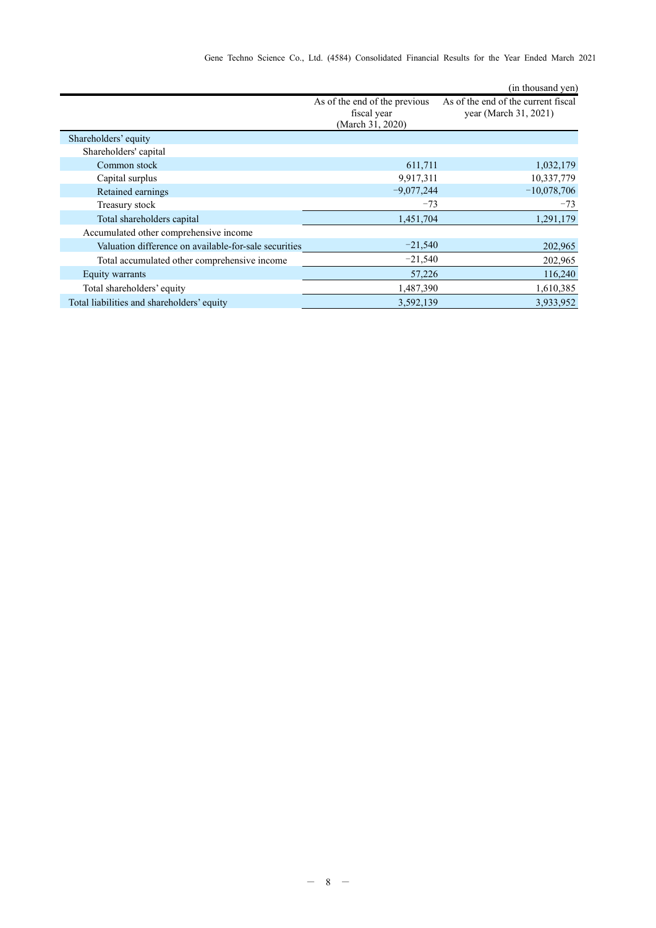|                                                       |                                                                  | (in thousand yen)                                            |
|-------------------------------------------------------|------------------------------------------------------------------|--------------------------------------------------------------|
|                                                       | As of the end of the previous<br>fiscal year<br>(March 31, 2020) | As of the end of the current fiscal<br>year (March 31, 2021) |
| Shareholders' equity                                  |                                                                  |                                                              |
| Shareholders' capital                                 |                                                                  |                                                              |
| Common stock                                          | 611,711                                                          | 1,032,179                                                    |
| Capital surplus                                       | 9,917,311                                                        | 10,337,779                                                   |
| Retained earnings                                     | $-9,077,244$                                                     | $-10,078,706$                                                |
| Treasury stock                                        | $-73$                                                            | $-73$                                                        |
| Total shareholders capital                            | 1,451,704                                                        | 1,291,179                                                    |
| Accumulated other comprehensive income                |                                                                  |                                                              |
| Valuation difference on available-for-sale securities | $-21,540$                                                        | 202,965                                                      |
| Total accumulated other comprehensive income          | $-21,540$                                                        | 202,965                                                      |
| Equity warrants                                       | 57,226                                                           | 116,240                                                      |
| Total shareholders' equity                            | 1,487,390                                                        | 1,610,385                                                    |
| Total liabilities and shareholders' equity            | 3,592,139                                                        | 3,933,952                                                    |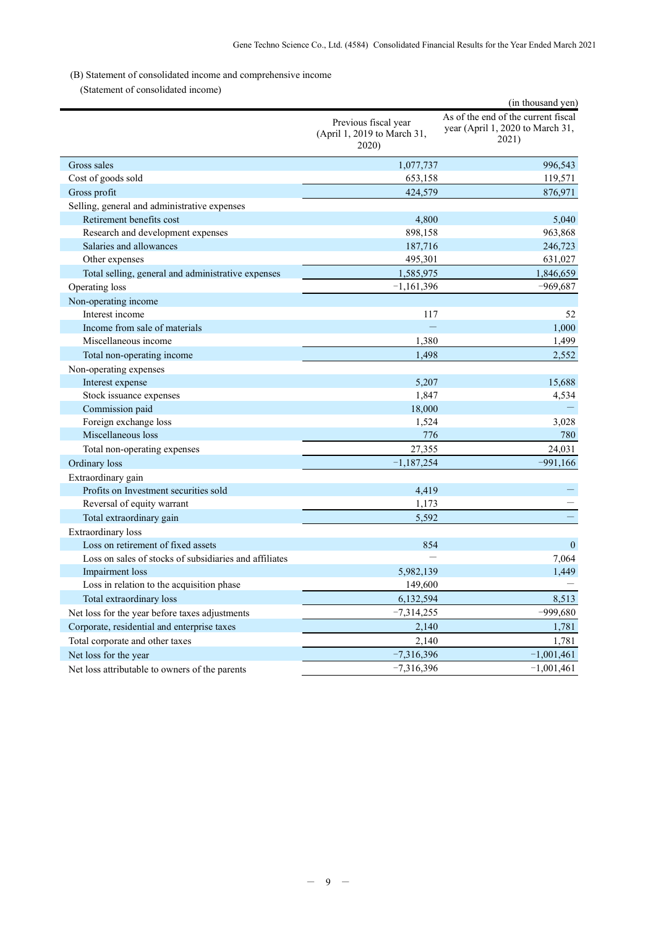# (B) Statement of consolidated income and comprehensive income

(Statement of consolidated income)

|                                                        |                                                              | (in thousand yen)                                                                |
|--------------------------------------------------------|--------------------------------------------------------------|----------------------------------------------------------------------------------|
|                                                        | Previous fiscal year<br>(April 1, 2019 to March 31,<br>2020) | As of the end of the current fiscal<br>year (April 1, 2020 to March 31,<br>2021) |
| Gross sales                                            | 1,077,737                                                    | 996,543                                                                          |
| Cost of goods sold                                     | 653,158                                                      | 119,571                                                                          |
| Gross profit                                           | 424,579                                                      | 876,971                                                                          |
| Selling, general and administrative expenses           |                                                              |                                                                                  |
| Retirement benefits cost                               | 4,800                                                        | 5,040                                                                            |
| Research and development expenses                      | 898,158                                                      | 963,868                                                                          |
| Salaries and allowances                                | 187,716                                                      | 246,723                                                                          |
| Other expenses                                         | 495,301                                                      | 631,027                                                                          |
| Total selling, general and administrative expenses     | 1,585,975                                                    | 1,846,659                                                                        |
| Operating loss                                         | $-1,161,396$                                                 | $-969,687$                                                                       |
| Non-operating income                                   |                                                              |                                                                                  |
| Interest income                                        | 117                                                          | 52                                                                               |
| Income from sale of materials                          |                                                              | 1,000                                                                            |
| Miscellaneous income                                   | 1,380                                                        | 1,499                                                                            |
| Total non-operating income                             | 1,498                                                        | 2,552                                                                            |
| Non-operating expenses                                 |                                                              |                                                                                  |
| Interest expense                                       | 5,207                                                        | 15,688                                                                           |
| Stock issuance expenses                                | 1,847                                                        | 4,534                                                                            |
| Commission paid                                        | 18,000                                                       |                                                                                  |
| Foreign exchange loss                                  | 1,524                                                        | 3,028                                                                            |
| Miscellaneous loss                                     | 776                                                          | 780                                                                              |
| Total non-operating expenses                           | 27,355                                                       | 24,031                                                                           |
| Ordinary loss                                          | $-1,187,254$                                                 | $-991,166$                                                                       |
| Extraordinary gain                                     |                                                              |                                                                                  |
| Profits on Investment securities sold                  | 4,419                                                        |                                                                                  |
| Reversal of equity warrant                             | 1,173                                                        |                                                                                  |
| Total extraordinary gain                               | 5,592                                                        |                                                                                  |
| <b>Extraordinary</b> loss                              |                                                              |                                                                                  |
| Loss on retirement of fixed assets                     | 854                                                          | $\mathbf{0}$                                                                     |
| Loss on sales of stocks of subsidiaries and affiliates |                                                              | 7,064                                                                            |
| Impairment loss                                        | 5,982,139                                                    | 1,449                                                                            |
| Loss in relation to the acquisition phase              | 149,600                                                      |                                                                                  |
| Total extraordinary loss                               | 6,132,594                                                    | 8,513                                                                            |
| Net loss for the year before taxes adjustments         | $-7,314,255$                                                 | $-999,680$                                                                       |
| Corporate, residential and enterprise taxes            | 2,140                                                        | 1,781                                                                            |
| Total corporate and other taxes                        | 2,140                                                        | 1,781                                                                            |
| Net loss for the year                                  | $-7,316,396$                                                 | $-1,001,461$                                                                     |
| Net loss attributable to owners of the parents         | $-7,316,396$                                                 | $-1,001,461$                                                                     |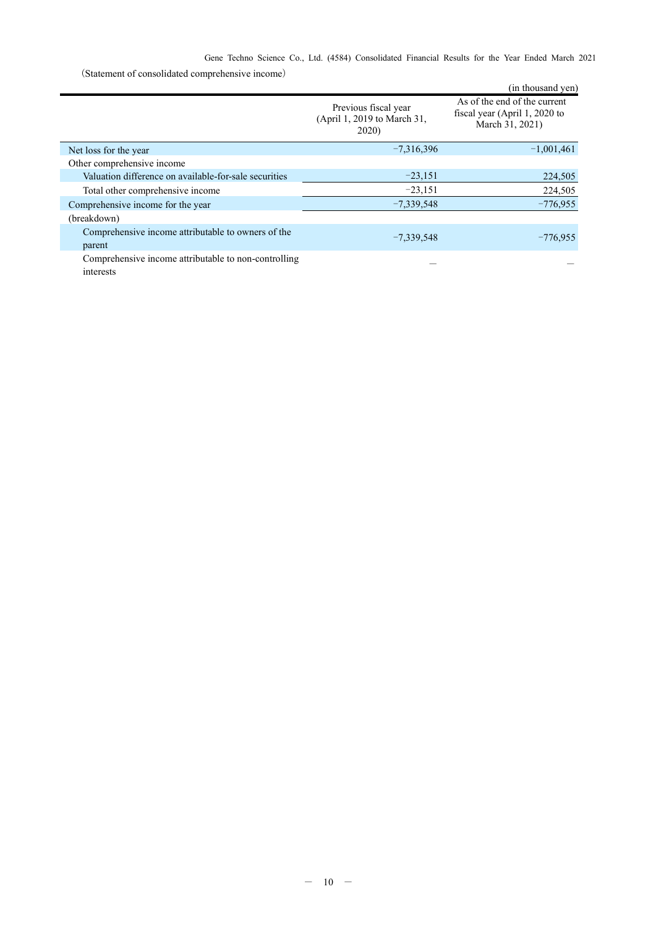|                                                                   |                                                              | (in thousand yen)                                                                |
|-------------------------------------------------------------------|--------------------------------------------------------------|----------------------------------------------------------------------------------|
|                                                                   | Previous fiscal year<br>(April 1, 2019 to March 31,<br>2020) | As of the end of the current<br>fiscal year (April 1, 2020 to<br>March 31, 2021) |
| Net loss for the year                                             | $-7,316,396$                                                 | $-1,001,461$                                                                     |
| Other comprehensive income                                        |                                                              |                                                                                  |
| Valuation difference on available-for-sale securities             | $-23,151$                                                    | 224,505                                                                          |
| Total other comprehensive income                                  | $-23,151$                                                    | 224,505                                                                          |
| Comprehensive income for the year                                 | $-7,339,548$                                                 | $-776,955$                                                                       |
| (breakdown)                                                       |                                                              |                                                                                  |
| Comprehensive income attributable to owners of the<br>parent      | $-7,339,548$                                                 | $-776,955$                                                                       |
| Comprehensive income attributable to non-controlling<br>interests |                                                              |                                                                                  |